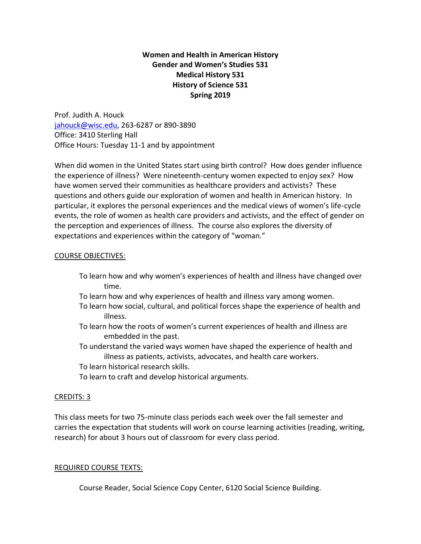# **Women and Health in American History Gender and Women's Studies 531 Medical History 531 History of Science 531 Spring 2019**

Prof. Judith A. Houck [jahouck@wisc.edu,](mailto:jahouck@wisc.edu) 263-6287 or 890-3890 Office: 3410 Sterling Hall Office Hours: Tuesday 11-1 and by appointment

When did women in the United States start using birth control? How does gender influence the experience of illness? Were nineteenth-century women expected to enjoy sex? How have women served their communities as healthcare providers and activists? These questions and others guide our exploration of women and health in American history. In particular, it explores the personal experiences and the medical views of women's life-cycle events, the role of women as health care providers and activists, and the effect of gender on the perception and experiences of illness. The course also explores the diversity of expectations and experiences within the category of "woman."

# COURSE OBJECTIVES:

- To learn how and why women's experiences of health and illness have changed over time.
- To learn how and why experiences of health and illness vary among women.
- To learn how social, cultural, and political forces shape the experience of health and illness.
- To learn how the roots of women's current experiences of health and illness are embedded in the past.
- To understand the varied ways women have shaped the experience of health and illness as patients, activists, advocates, and health care workers.
- To learn historical research skills.
- To learn to craft and develop historical arguments.

# CREDITS: 3

This class meets for two 75-minute class periods each week over the fall semester and carries the expectation that students will work on course learning activities (reading, writing, research) for about 3 hours out of classroom for every class period.

# REQUIRED COURSE TEXTS:

Course Reader, Social Science Copy Center, 6120 Social Science Building.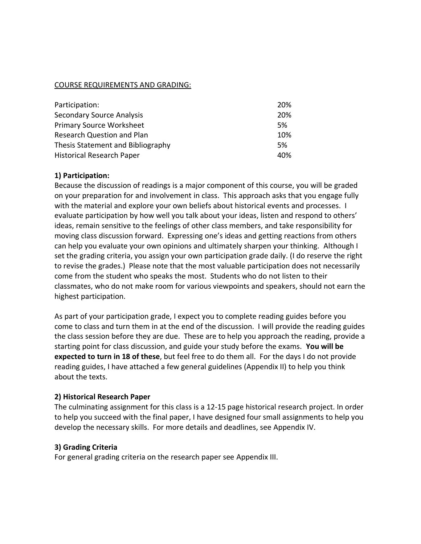## COURSE REQUIREMENTS AND GRADING:

| Participation:                    | 20% |
|-----------------------------------|-----|
| <b>Secondary Source Analysis</b>  | 20% |
| <b>Primary Source Worksheet</b>   | 5%  |
| <b>Research Question and Plan</b> | 10% |
| Thesis Statement and Bibliography | 5%  |
| <b>Historical Research Paper</b>  | 40% |

## **1) Participation:**

Because the discussion of readings is a major component of this course, you will be graded on your preparation for and involvement in class. This approach asks that you engage fully with the material and explore your own beliefs about historical events and processes. I evaluate participation by how well you talk about your ideas, listen and respond to others' ideas, remain sensitive to the feelings of other class members, and take responsibility for moving class discussion forward. Expressing one's ideas and getting reactions from others can help you evaluate your own opinions and ultimately sharpen your thinking.Although I set the grading criteria, you assign your own participation grade daily. (I do reserve the right to revise the grades.) Please note that the most valuable participation does not necessarily come from the student who speaks the most. Students who do not listen to their classmates, who do not make room for various viewpoints and speakers, should not earn the highest participation.

As part of your participation grade, I expect you to complete reading guides before you come to class and turn them in at the end of the discussion. I will provide the reading guides the class session before they are due. These are to help you approach the reading, provide a starting point for class discussion, and guide your study before the exams. **You will be expected to turn in 18 of these**, but feel free to do them all. For the days I do not provide reading guides, I have attached a few general guidelines (Appendix II) to help you think about the texts.

#### **2) Historical Research Paper**

The culminating assignment for this class is a 12-15 page historical research project. In order to help you succeed with the final paper, I have designed four small assignments to help you develop the necessary skills. For more details and deadlines, see Appendix IV.

## **3) Grading Criteria**

For general grading criteria on the research paper see Appendix III.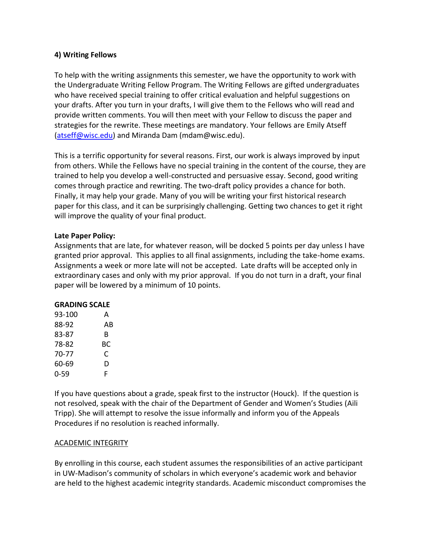# **4) Writing Fellows**

To help with the writing assignments this semester, we have the opportunity to work with the Undergraduate Writing Fellow Program. The Writing Fellows are gifted undergraduates who have received special training to offer critical evaluation and helpful suggestions on your drafts. After you turn in your drafts, I will give them to the Fellows who will read and provide written comments. You will then meet with your Fellow to discuss the paper and strategies for the rewrite. These meetings are mandatory. Your fellows are Emily Atseff [\(atseff@wisc.edu\)](mailto:atseff@wisc.edu) and Miranda Dam (mdam@wisc.edu).

This is a terrific opportunity for several reasons. First, our work is always improved by input from others. While the Fellows have no special training in the content of the course, they are trained to help you develop a well-constructed and persuasive essay. Second, good writing comes through practice and rewriting. The two-draft policy provides a chance for both. Finally, it may help your grade. Many of you will be writing your first historical research paper for this class, and it can be surprisingly challenging. Getting two chances to get it right will improve the quality of your final product.

# **Late Paper Policy:**

Assignments that are late, for whatever reason, will be docked 5 points per day unless I have granted prior approval. This applies to all final assignments, including the take-home exams. Assignments a week or more late will not be accepted. Late drafts will be accepted only in extraordinary cases and only with my prior approval. If you do not turn in a draft, your final paper will be lowered by a minimum of 10 points.

## **GRADING SCALE**

| 93-100   | А  |
|----------|----|
| 88-92    | ΑB |
| 83-87    | R  |
| 78-82    | BС |
| $70-77$  | C  |
| 60-69    | D  |
| $0 - 59$ | F  |

If you have questions about a grade, speak first to the instructor (Houck). If the question is not resolved, speak with the chair of the Department of Gender and Women's Studies (Aili Tripp). She will attempt to resolve the issue informally and inform you of the Appeals Procedures if no resolution is reached informally.

## ACADEMIC INTEGRITY

By enrolling in this course, each student assumes the responsibilities of an active participant in UW-Madison's community of scholars in which everyone's academic work and behavior are held to the highest academic integrity standards. Academic misconduct compromises the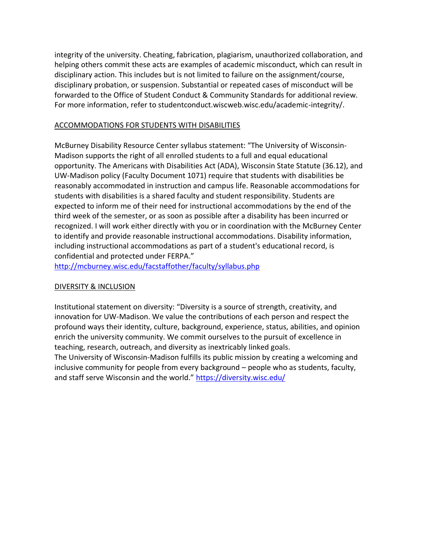integrity of the university. Cheating, fabrication, plagiarism, unauthorized collaboration, and helping others commit these acts are examples of academic misconduct, which can result in disciplinary action. This includes but is not limited to failure on the assignment/course, disciplinary probation, or suspension. Substantial or repeated cases of misconduct will be forwarded to the Office of Student Conduct & Community Standards for additional review. For more information, refer to studentconduct.wiscweb.wisc.edu/academic-integrity/.

## ACCOMMODATIONS FOR STUDENTS WITH DISABILITIES

McBurney Disability Resource Center syllabus statement: "The University of Wisconsin-Madison supports the right of all enrolled students to a full and equal educational opportunity. The Americans with Disabilities Act (ADA), Wisconsin State Statute (36.12), and UW-Madison policy (Faculty Document 1071) require that students with disabilities be reasonably accommodated in instruction and campus life. Reasonable accommodations for students with disabilities is a shared faculty and student responsibility. Students are expected to inform me of their need for instructional accommodations by the end of the third week of the semester, or as soon as possible after a disability has been incurred or recognized. I will work either directly with you or in coordination with the McBurney Center to identify and provide reasonable instructional accommodations. Disability information, including instructional accommodations as part of a student's educational record, is confidential and protected under FERPA."

<http://mcburney.wisc.edu/facstaffother/faculty/syllabus.php>

## DIVERSITY & INCLUSION

Institutional statement on diversity: "Diversity is a source of strength, creativity, and innovation for UW-Madison. We value the contributions of each person and respect the profound ways their identity, culture, background, experience, status, abilities, and opinion enrich the university community. We commit ourselves to the pursuit of excellence in teaching, research, outreach, and diversity as inextricably linked goals.

The University of Wisconsin-Madison fulfills its public mission by creating a welcoming and inclusive community for people from every background – people who as students, faculty, and staff serve Wisconsin and the world." <https://diversity.wisc.edu/>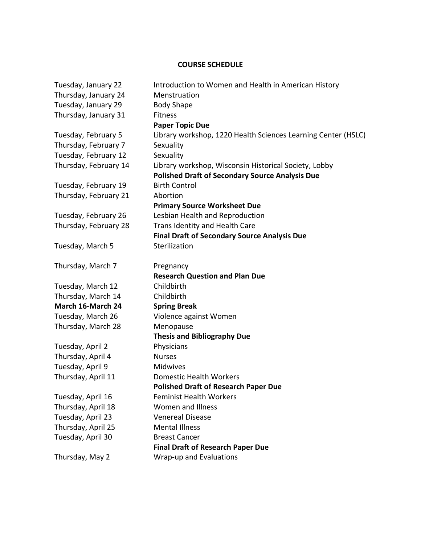# **COURSE SCHEDULE**

| Tuesday, January 22   | Introduction to Women and Health in American History          |
|-----------------------|---------------------------------------------------------------|
| Thursday, January 24  | Menstruation                                                  |
| Tuesday, January 29   | <b>Body Shape</b>                                             |
| Thursday, January 31  | <b>Fitness</b>                                                |
|                       | <b>Paper Topic Due</b>                                        |
| Tuesday, February 5   | Library workshop, 1220 Health Sciences Learning Center (HSLC) |
| Thursday, February 7  | Sexuality                                                     |
| Tuesday, February 12  | Sexuality                                                     |
| Thursday, February 14 | Library workshop, Wisconsin Historical Society, Lobby         |
|                       | <b>Polished Draft of Secondary Source Analysis Due</b>        |
| Tuesday, February 19  | <b>Birth Control</b>                                          |
| Thursday, February 21 | Abortion                                                      |
|                       | <b>Primary Source Worksheet Due</b>                           |
| Tuesday, February 26  | Lesbian Health and Reproduction                               |
| Thursday, February 28 | Trans Identity and Health Care                                |
|                       | <b>Final Draft of Secondary Source Analysis Due</b>           |
| Tuesday, March 5      | Sterilization                                                 |
|                       |                                                               |
| Thursday, March 7     | Pregnancy                                                     |
|                       | <b>Research Question and Plan Due</b>                         |
| Tuesday, March 12     | Childbirth                                                    |
| Thursday, March 14    | Childbirth                                                    |
| March 16-March 24     | <b>Spring Break</b>                                           |
| Tuesday, March 26     | Violence against Women                                        |
| Thursday, March 28    | Menopause                                                     |
|                       | <b>Thesis and Bibliography Due</b>                            |
| Tuesday, April 2      | Physicians                                                    |
| Thursday, April 4     | <b>Nurses</b>                                                 |
| Tuesday, April 9      | Midwives                                                      |
| Thursday, April 11    | <b>Domestic Health Workers</b>                                |
|                       | <b>Polished Draft of Research Paper Due</b>                   |
| Tuesday, April 16     | <b>Feminist Health Workers</b>                                |
| Thursday, April 18    | Women and Illness                                             |
| Tuesday, April 23     | <b>Venereal Disease</b>                                       |
| Thursday, April 25    | <b>Mental Illness</b>                                         |
| Tuesday, April 30     | <b>Breast Cancer</b>                                          |
|                       | <b>Final Draft of Research Paper Due</b>                      |
| Thursday, May 2       | Wrap-up and Evaluations                                       |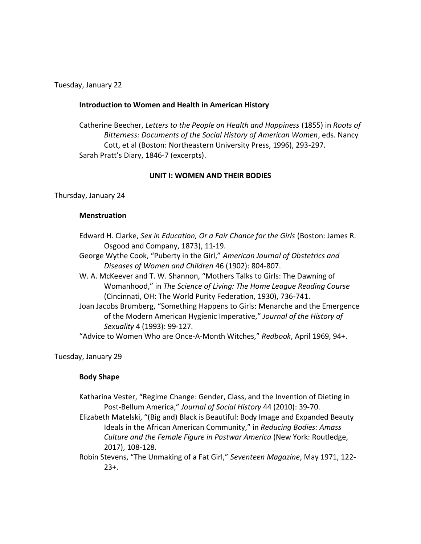Tuesday, January 22

#### **Introduction to Women and Health in American History**

Catherine Beecher, *Letters to the People on Health and Happiness* (1855) in *Roots of Bitterness: Documents of the Social History of American Women*, eds. Nancy Cott, et al (Boston: Northeastern University Press, 1996), 293-297. Sarah Pratt's Diary, 1846-7 (excerpts).

#### **UNIT I: WOMEN AND THEIR BODIES**

Thursday, January 24

#### **Menstruation**

- Edward H. Clarke, *Sex in Education, Or a Fair Chance for the Girls* (Boston: James R. Osgood and Company, 1873), 11-19.
- George Wythe Cook, "Puberty in the Girl," *American Journal of Obstetrics and Diseases of Women and Children* 46 (1902): 804-807.
- W. A. McKeever and T. W. Shannon, "Mothers Talks to Girls: The Dawning of Womanhood," in *The Science of Living: The Home League Reading Course* (Cincinnati, OH: The World Purity Federation, 1930), 736-741.
- Joan Jacobs Brumberg, "Something Happens to Girls: Menarche and the Emergence of the Modern American Hygienic Imperative," *Journal of the History of Sexuality* 4 (1993): 99-127.

"Advice to Women Who are Once-A-Month Witches," *Redbook*, April 1969, 94+.

Tuesday, January 29

## **Body Shape**

- Katharina Vester, "Regime Change: Gender, Class, and the Invention of Dieting in Post-Bellum America," *Journal of Social History* 44 (2010): 39-70.
- Elizabeth Matelski, "(Big and) Black is Beautiful: Body Image and Expanded Beauty Ideals in the African American Community," in *Reducing Bodies: Amass Culture and the Female Figure in Postwar America* (New York: Routledge, 2017), 108-128.
- Robin Stevens, "The Unmaking of a Fat Girl," *Seventeen Magazine*, May 1971, 122- 23+.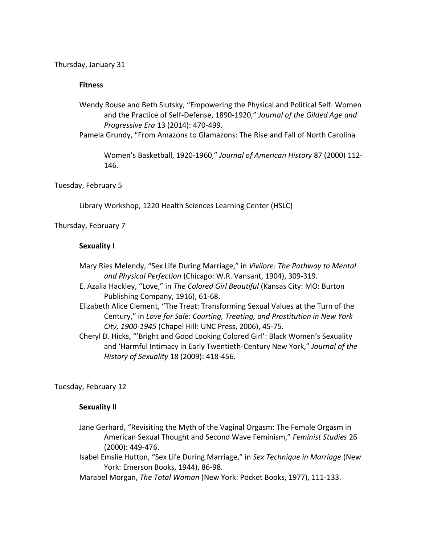Thursday, January 31

## **Fitness**

- Wendy Rouse and Beth Slutsky, "Empowering the Physical and Political Self: Women and the Practice of Self-Defense, 1890-1920," *Journal of the Gilded Age and Progressive Era* 13 (2014): 470-499.
- Pamela Grundy, "From Amazons to Glamazons: The Rise and Fall of North Carolina

Women's Basketball, 1920-1960," *Journal of American History* 87 (2000) 112- 146.

## Tuesday, February 5

Library Workshop, 1220 Health Sciences Learning Center (HSLC)

## Thursday, February 7

#### **Sexuality I**

- Mary Ries Melendy, "Sex Life During Marriage," in *Vivilore: The Pathway to Mental and Physical Perfection* (Chicago: W.R. Vansant, 1904), 309-319.
- E. Azalia Hackley, "Love," in *The Colored Girl Beautiful* (Kansas City: MO: Burton Publishing Company, 1916), 61-68.
- Elizabeth Alice Clement, "The Treat: Transforming Sexual Values at the Turn of the Century," in *Love for Sale: Courting, Treating, and Prostitution in New York City, 1900-1945* (Chapel Hill: UNC Press, 2006), 45-75.
- Cheryl D. Hicks, "'Bright and Good Looking Colored Girl': Black Women's Sexuality and 'Harmful Intimacy in Early Twentieth-Century New York," *Journal of the History of Sexuality* 18 (2009): 418-456.

Tuesday, February 12

## **Sexuality II**

- Jane Gerhard, "Revisiting the Myth of the Vaginal Orgasm: The Female Orgasm in American Sexual Thought and Second Wave Feminism," *Feminist Studies* 26 (2000): 449-476.
- Isabel Emslie Hutton, "Sex Life During Marriage," in *Sex Technique in Marriage* (New York: Emerson Books, 1944), 86-98.
- Marabel Morgan, *The Total Woman* (New York: Pocket Books, 1977), 111-133.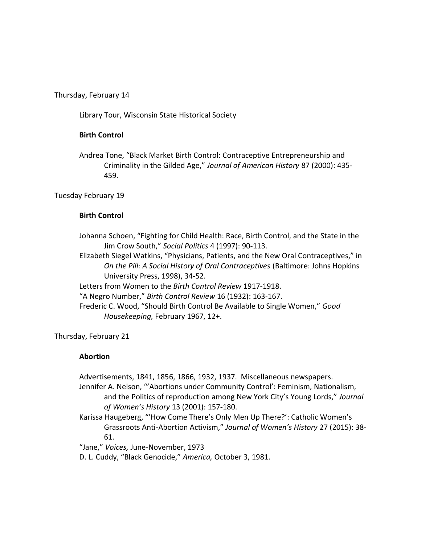Thursday, February 14

Library Tour, Wisconsin State Historical Society

# **Birth Control**

Andrea Tone, "Black Market Birth Control: Contraceptive Entrepreneurship and Criminality in the Gilded Age," *Journal of American History* 87 (2000): 435- 459.

Tuesday February 19

## **Birth Control**

Johanna Schoen, "Fighting for Child Health: Race, Birth Control, and the State in the Jim Crow South," *Social Politics* 4 (1997): 90-113.

Elizabeth Siegel Watkins, "Physicians, Patients, and the New Oral Contraceptives," in *On the Pill: A Social History of Oral Contraceptives* (Baltimore: Johns Hopkins University Press, 1998), 34-52.

Letters from Women to the *Birth Control Review* 1917-1918.

"A Negro Number," *Birth Control Review* 16 (1932): 163-167.

Frederic C. Wood, "Should Birth Control Be Available to Single Women," *Good Housekeeping,* February 1967, 12+.

Thursday, February 21

## **Abortion**

Advertisements, 1841, 1856, 1866, 1932, 1937. Miscellaneous newspapers.

Jennifer A. Nelson, "'Abortions under Community Control': Feminism, Nationalism, and the Politics of reproduction among New York City's Young Lords," *Journal of Women's History* 13 (2001): 157-180.

Karissa Haugeberg, "'How Come There's Only Men Up There?': Catholic Women's Grassroots Anti-Abortion Activism," *Journal of Women's History* 27 (2015): 38- 61.

"Jane," *Voices,* June-November, 1973

D. L. Cuddy, "Black Genocide," *America,* October 3, 1981.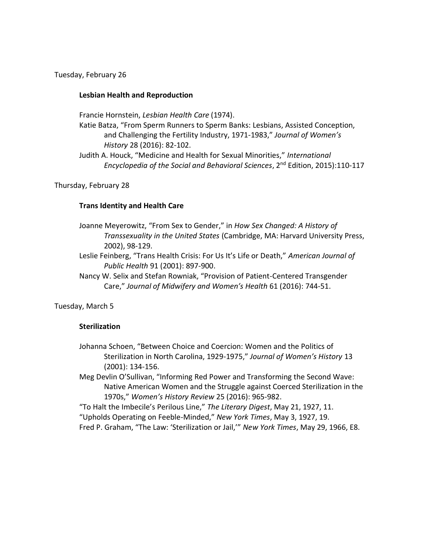Tuesday, February 26

# **Lesbian Health and Reproduction**

Francie Hornstein, *Lesbian Health Care* (1974).

Katie Batza, "From Sperm Runners to Sperm Banks: Lesbians, Assisted Conception, and Challenging the Fertility Industry, 1971-1983," *Journal of Women's History* 28 (2016): 82-102.

Judith A. Houck, "Medicine and Health for Sexual Minorities," *International Encyclopedia of the Social and Behavioral Sciences*, 2nd Edition, 2015):110-117

## Thursday, February 28

# **Trans Identity and Health Care**

- Joanne Meyerowitz, "From Sex to Gender," in *How Sex Changed: A History of Transsexuality in the United States* (Cambridge, MA: Harvard University Press, 2002), 98-129.
- Leslie Feinberg, "Trans Health Crisis: For Us It's Life or Death," *American Journal of Public Health* 91 (2001): 897-900.
- Nancy W. Selix and Stefan Rowniak, "Provision of Patient-Centered Transgender Care," *Journal of Midwifery and Women's Health* 61 (2016): 744-51.

Tuesday, March 5

## **Sterilization**

Johanna Schoen, "Between Choice and Coercion: Women and the Politics of Sterilization in North Carolina, 1929-1975," *Journal of Women's History* 13 (2001): 134-156.

Meg Devlin O'Sullivan, "Informing Red Power and Transforming the Second Wave: Native American Women and the Struggle against Coerced Sterilization in the 1970s," *Women's History Review* 25 (2016): 965-982.

"To Halt the Imbecile's Perilous Line," *The Literary Digest*, May 21, 1927, 11. "Upholds Operating on Feeble-Minded," *New York Times*, May 3, 1927, 19.

Fred P. Graham, "The Law: 'Sterilization or Jail,'" *New York Times*, May 29, 1966, E8.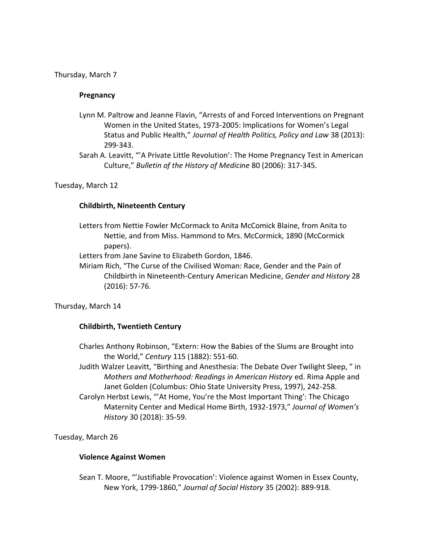Thursday, March 7

#### **Pregnancy**

- Lynn M. Paltrow and Jeanne Flavin, "Arrests of and Forced Interventions on Pregnant Women in the United States, 1973-2005: Implications for Women's Legal Status and Public Health," *Journal of Health Politics, Policy and Law* 38 (2013): 299-343.
- Sarah A. Leavitt, "'A Private Little Revolution': The Home Pregnancy Test in American Culture," *Bulletin of the History of Medicine* 80 (2006): 317-345.

#### Tuesday, March 12

## **Childbirth, Nineteenth Century**

Letters from Nettie Fowler McCormack to Anita McComick Blaine, from Anita to Nettie, and from Miss. Hammond to Mrs. McCormick, 1890 (McCormick papers).

Letters from Jane Savine to Elizabeth Gordon, 1846.

Miriam Rich, "The Curse of the Civilised Woman: Race, Gender and the Pain of Childbirth in Nineteenth-Century American Medicine, *Gender and History* 28 (2016): 57-76.

Thursday, March 14

## **Childbirth, Twentieth Century**

- Charles Anthony Robinson, "Extern: How the Babies of the Slums are Brought into the World," *Century* 115 (1882): 551-60.
- Judith Walzer Leavitt, "Birthing and Anesthesia: The Debate Over Twilight Sleep, " in *Mothers and Motherhood: Readings in American History* ed. Rima Apple and Janet Golden (Columbus: Ohio State University Press, 1997), 242-258.
- Carolyn Herbst Lewis, "'At Home, You're the Most Important Thing': The Chicago Maternity Center and Medical Home Birth, 1932-1973," *Journal of Women's History* 30 (2018): 35-59.

Tuesday, March 26

## **Violence Against Women**

Sean T. Moore, "'Justifiable Provocation': Violence against Women in Essex County, New York, 1799-1860," *Journal of Social History* 35 (2002): 889-918.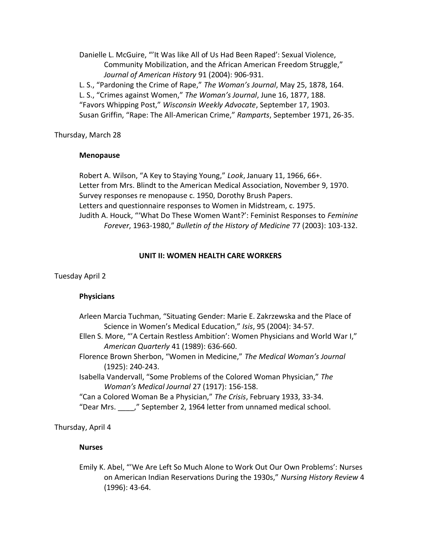Danielle L. McGuire, "'It Was like All of Us Had Been Raped': Sexual Violence, Community Mobilization, and the African American Freedom Struggle," *Journal of American History* 91 (2004): 906-931.

L. S., "Pardoning the Crime of Rape," *The Woman's Journal*, May 25, 1878, 164. L. S., "Crimes against Women," *The Woman's Journal*, June 16, 1877, 188. "Favors Whipping Post," *Wisconsin Weekly Advocate*, September 17, 1903. Susan Griffin, "Rape: The All-American Crime," *Ramparts*, September 1971, 26-35.

Thursday, March 28

#### **Menopause**

Robert A. Wilson, "A Key to Staying Young," *Look*, January 11, 1966, 66+. Letter from Mrs. Blindt to the American Medical Association, November 9, 1970. Survey responses re menopause c. 1950, Dorothy Brush Papers. Letters and questionnaire responses to Women in Midstream, c. 1975. Judith A. Houck, "'What Do These Women Want?': Feminist Responses to *Feminine Forever*, 1963-1980," *Bulletin of the History of Medicine* 77 (2003): 103-132.

#### **UNIT II: WOMEN HEALTH CARE WORKERS**

Tuesday April 2

## **Physicians**

| Arleen Marcia Tuchman, "Situating Gender: Marie E. Zakrzewska and the Place of    |
|-----------------------------------------------------------------------------------|
| Science in Women's Medical Education," Isis, 95 (2004): 34-57.                    |
| Ellen S. More, "'A Certain Restless Ambition': Women Physicians and World War I," |
| American Quarterly 41 (1989): 636-660.                                            |
| Florence Brown Sherbon, "Women in Medicine," The Medical Woman's Journal          |
| $(1925): 240-243.$                                                                |
| Isabella Vandervall, "Some Problems of the Colored Woman Physician," The          |
| Woman's Medical Journal 27 (1917): 156-158.                                       |
| "Can a Colored Woman Be a Physician," The Crisis, February 1933, 33-34.           |
| "Dear Mrs. "September 2, 1964 letter from unnamed medical school.                 |
|                                                                                   |

Thursday, April 4

## **Nurses**

Emily K. Abel, "'We Are Left So Much Alone to Work Out Our Own Problems': Nurses on American Indian Reservations During the 1930s," *Nursing History Review* 4 (1996): 43-64.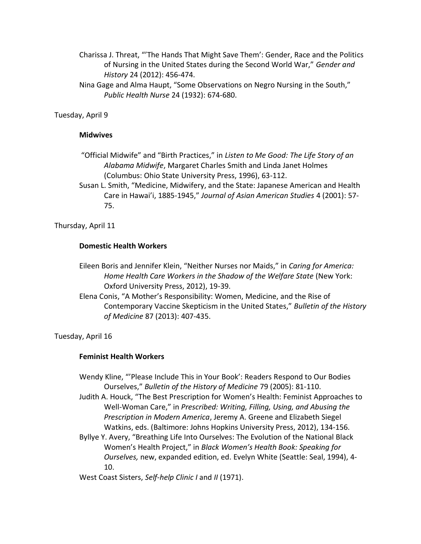- Charissa J. Threat, "'The Hands That Might Save Them': Gender, Race and the Politics of Nursing in the United States during the Second World War," *Gender and History* 24 (2012): 456-474.
- Nina Gage and Alma Haupt, "Some Observations on Negro Nursing in the South," *Public Health Nurse* 24 (1932): 674-680.

# Tuesday, April 9

#### **Midwives**

- "Official Midwife" and "Birth Practices," in *Listen to Me Good: The Life Story of an Alabama Midwife*, Margaret Charles Smith and Linda Janet Holmes (Columbus: Ohio State University Press, 1996), 63-112.
- Susan L. Smith, "Medicine, Midwifery, and the State: Japanese American and Health Care in Hawai'i, 1885-1945," *Journal of Asian American Studies* 4 (2001): 57- 75.

Thursday, April 11

#### **Domestic Health Workers**

- Eileen Boris and Jennifer Klein, "Neither Nurses nor Maids," in *Caring for America: Home Health Care Workers in the Shadow of the Welfare State* (New York: Oxford University Press, 2012), 19-39.
- Elena Conis, "A Mother's Responsibility: Women, Medicine, and the Rise of Contemporary Vaccine Skepticism in the United States," *Bulletin of the History of Medicine* 87 (2013): 407-435.

## Tuesday, April 16

## **Feminist Health Workers**

- Wendy Kline, "'Please Include This in Your Book': Readers Respond to Our Bodies Ourselves," *Bulletin of the History of Medicine* 79 (2005): 81-110.
- Judith A. Houck, "The Best Prescription for Women's Health: Feminist Approaches to Well-Woman Care," in *Prescribed: Writing, Filling, Using, and Abusing the Prescription in Modern America*, Jeremy A. Greene and Elizabeth Siegel Watkins, eds. (Baltimore: Johns Hopkins University Press, 2012), 134-156.
- Byllye Y. Avery, "Breathing Life Into Ourselves: The Evolution of the National Black Women's Health Project," in *Black Women's Health Book: Speaking for Ourselves,* new, expanded edition, ed. Evelyn White (Seattle: Seal, 1994), 4- 10.
- West Coast Sisters, *Self-help Clinic I* and *II* (1971).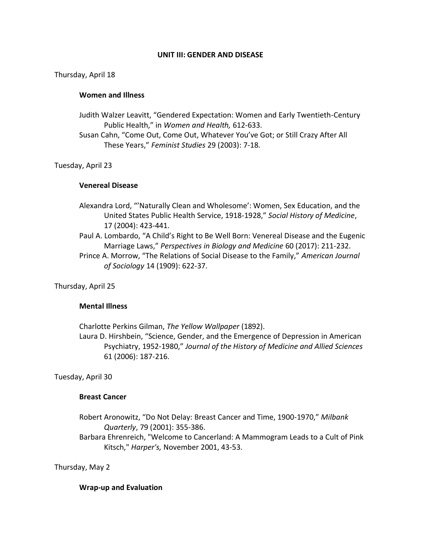#### **UNIT III: GENDER AND DISEASE**

Thursday, April 18

#### **Women and Illness**

- Judith Walzer Leavitt, "Gendered Expectation: Women and Early Twentieth-Century Public Health," in *Women and Health,* 612-633.
- Susan Cahn, "Come Out, Come Out, Whatever You've Got; or Still Crazy After All These Years," *Feminist Studies* 29 (2003): 7-18.

#### Tuesday, April 23

## **Venereal Disease**

- Alexandra Lord, "'Naturally Clean and Wholesome': Women, Sex Education, and the United States Public Health Service, 1918-1928," *Social History of Medicine*, 17 (2004): 423-441.
- Paul A. Lombardo, "A Child's Right to Be Well Born: Venereal Disease and the Eugenic Marriage Laws," *Perspectives in Biology and Medicine* 60 (2017): 211-232.
- Prince A. Morrow, "The Relations of Social Disease to the Family," *American Journal of Sociology* 14 (1909): 622-37.

Thursday, April 25

## **Mental Illness**

Charlotte Perkins Gilman, *The Yellow Wallpaper* (1892). Laura D. Hirshbein, "Science, Gender, and the Emergence of Depression in American Psychiatry, 1952-1980," *Journal of the History of Medicine and Allied Sciences* 61 (2006): 187-216.

Tuesday, April 30

#### **Breast Cancer**

- Robert Aronowitz, "Do Not Delay: Breast Cancer and Time, 1900-1970," *Milbank Quarterly*, 79 (2001): 355-386.
- Barbara Ehrenreich, "Welcome to Cancerland: A Mammogram Leads to a Cult of Pink Kitsch," *Harper's,* November 2001, 43-53.

Thursday, May 2

#### **Wrap-up and Evaluation**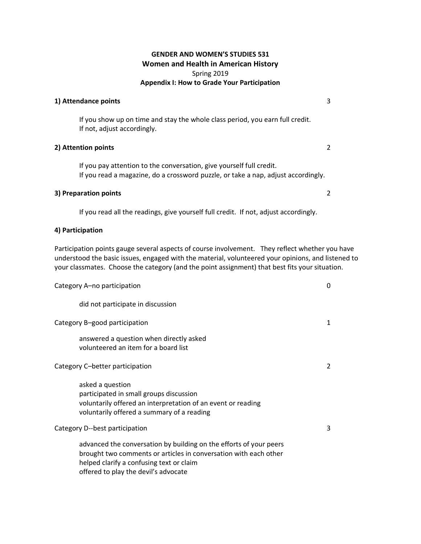#### **GENDER AND WOMEN'S STUDIES 531 Women and Health in American History**  Spring 2019 **Appendix I: How to Grade Your Participation**

#### **1) Attendance points** 3

If you show up on time and stay the whole class period, you earn full credit. If not, adjust accordingly.

#### **2) Attention points** 2

If you pay attention to the conversation, give yourself full credit. If you read a magazine, do a crossword puzzle, or take a nap, adjust accordingly.

## **3) Preparation points** 2

If you read all the readings, give yourself full credit. If not, adjust accordingly.

#### **4) Participation**

Participation points gauge several aspects of course involvement. They reflect whether you have understood the basic issues, engaged with the material, volunteered your opinions, and listened to your classmates. Choose the category (and the point assignment) that best fits your situation.

| Category A-no participation                                                                                                                                                                                                | 0             |
|----------------------------------------------------------------------------------------------------------------------------------------------------------------------------------------------------------------------------|---------------|
| did not participate in discussion                                                                                                                                                                                          |               |
| Category B-good participation                                                                                                                                                                                              | 1             |
| answered a question when directly asked<br>volunteered an item for a board list                                                                                                                                            |               |
| Category C-better participation                                                                                                                                                                                            | $\mathcal{P}$ |
| asked a question<br>participated in small groups discussion<br>voluntarily offered an interpretation of an event or reading<br>voluntarily offered a summary of a reading                                                  |               |
| Category D--best participation                                                                                                                                                                                             | 3             |
| advanced the conversation by building on the efforts of your peers<br>brought two comments or articles in conversation with each other<br>helped clarify a confusing text or claim<br>offered to play the devil's advocate |               |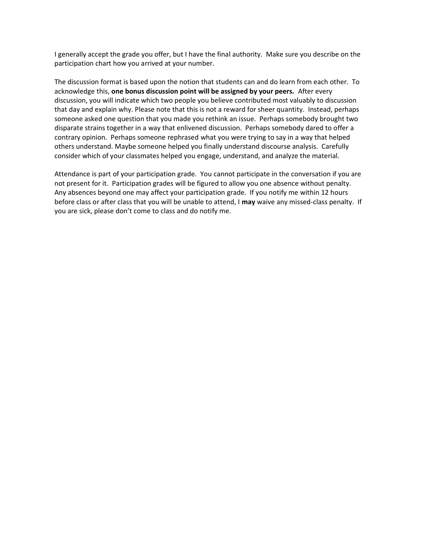I generally accept the grade you offer, but I have the final authority. Make sure you describe on the participation chart how you arrived at your number.

The discussion format is based upon the notion that students can and do learn from each other. To acknowledge this, **one bonus discussion point will be assigned by your peers.** After every discussion, you will indicate which two people you believe contributed most valuably to discussion that day and explain why. Please note that this is not a reward for sheer quantity. Instead, perhaps someone asked one question that you made you rethink an issue. Perhaps somebody brought two disparate strains together in a way that enlivened discussion. Perhaps somebody dared to offer a contrary opinion. Perhaps someone rephrased what you were trying to say in a way that helped others understand. Maybe someone helped you finally understand discourse analysis. Carefully consider which of your classmates helped you engage, understand, and analyze the material.

Attendance is part of your participation grade. You cannot participate in the conversation if you are not present for it. Participation grades will be figured to allow you one absence without penalty. Any absences beyond one may affect your participation grade. If you notify me within 12 hours before class or after class that you will be unable to attend, I **may** waive any missed-class penalty. If you are sick, please don't come to class and do notify me.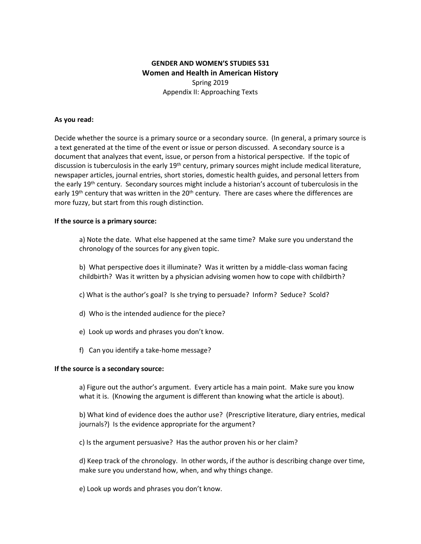# **GENDER AND WOMEN'S STUDIES 531 Women and Health in American History**  Spring 2019 Appendix II: Approaching Texts

#### **As you read:**

Decide whether the source is a primary source or a secondary source. (In general, a primary source is a text generated at the time of the event or issue or person discussed. A secondary source is a document that analyzes that event, issue, or person from a historical perspective. If the topic of discussion is tuberculosis in the early 19<sup>th</sup> century, primary sources might include medical literature, newspaper articles, journal entries, short stories, domestic health guides, and personal letters from the early 19<sup>th</sup> century. Secondary sources might include a historian's account of tuberculosis in the early 19<sup>th</sup> century that was written in the 20<sup>th</sup> century. There are cases where the differences are more fuzzy, but start from this rough distinction.

#### **If the source is a primary source:**

a) Note the date. What else happened at the same time? Make sure you understand the chronology of the sources for any given topic.

- b) What perspective does it illuminate? Was it written by a middle-class woman facing childbirth? Was it written by a physician advising women how to cope with childbirth?
- c) What is the author's goal? Is she trying to persuade? Inform? Seduce? Scold?
- d) Who is the intended audience for the piece?
- e) Look up words and phrases you don't know.
- f) Can you identify a take-home message?

#### **If the source is a secondary source:**

a) Figure out the author's argument. Every article has a main point. Make sure you know what it is. (Knowing the argument is different than knowing what the article is about).

b) What kind of evidence does the author use? (Prescriptive literature, diary entries, medical journals?) Is the evidence appropriate for the argument?

c) Is the argument persuasive? Has the author proven his or her claim?

d) Keep track of the chronology. In other words, if the author is describing change over time, make sure you understand how, when, and why things change.

e) Look up words and phrases you don't know.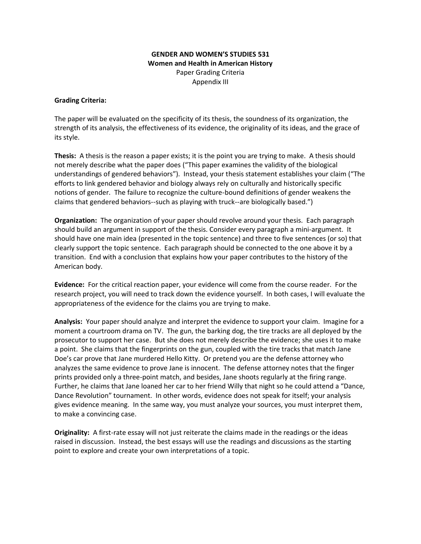#### **GENDER AND WOMEN'S STUDIES 531 Women and Health in American History**  Paper Grading Criteria Appendix III

#### **Grading Criteria:**

The paper will be evaluated on the specificity of its thesis, the soundness of its organization, the strength of its analysis, the effectiveness of its evidence, the originality of its ideas, and the grace of its style.

**Thesis:** A thesis is the reason a paper exists; it is the point you are trying to make. A thesis should not merely describe what the paper does ("This paper examines the validity of the biological understandings of gendered behaviors"). Instead, your thesis statement establishes your claim ("The efforts to link gendered behavior and biology always rely on culturally and historically specific notions of gender. The failure to recognize the culture-bound definitions of gender weakens the claims that gendered behaviors--such as playing with truck--are biologically based.")

**Organization:** The organization of your paper should revolve around your thesis. Each paragraph should build an argument in support of the thesis. Consider every paragraph a mini-argument. It should have one main idea (presented in the topic sentence) and three to five sentences (or so) that clearly support the topic sentence. Each paragraph should be connected to the one above it by a transition. End with a conclusion that explains how your paper contributes to the history of the American body.

**Evidence:** For the critical reaction paper, your evidence will come from the course reader. For the research project, you will need to track down the evidence yourself. In both cases, I will evaluate the appropriateness of the evidence for the claims you are trying to make.

**Analysis:** Your paper should analyze and interpret the evidence to support your claim. Imagine for a moment a courtroom drama on TV. The gun, the barking dog, the tire tracks are all deployed by the prosecutor to support her case. But she does not merely describe the evidence; she uses it to make a point. She claims that the fingerprints on the gun, coupled with the tire tracks that match Jane Doe's car prove that Jane murdered Hello Kitty. Or pretend you are the defense attorney who analyzes the same evidence to prove Jane is innocent. The defense attorney notes that the finger prints provided only a three-point match, and besides, Jane shoots regularly at the firing range. Further, he claims that Jane loaned her car to her friend Willy that night so he could attend a "Dance, Dance Revolution" tournament. In other words, evidence does not speak for itself; your analysis gives evidence meaning. In the same way, you must analyze your sources, you must interpret them, to make a convincing case.

**Originality:** A first-rate essay will not just reiterate the claims made in the readings or the ideas raised in discussion. Instead, the best essays will use the readings and discussions as the starting point to explore and create your own interpretations of a topic.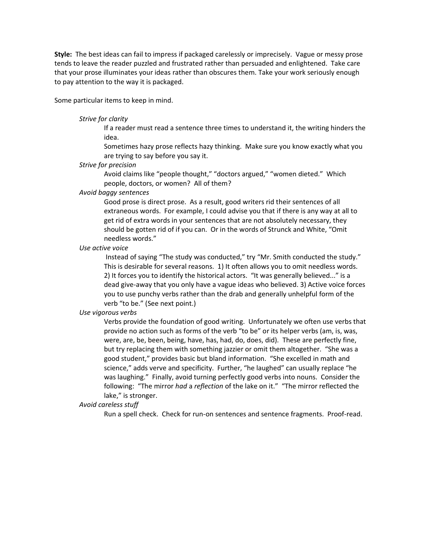**Style:** The best ideas can fail to impress if packaged carelessly or imprecisely. Vague or messy prose tends to leave the reader puzzled and frustrated rather than persuaded and enlightened. Take care that your prose illuminates your ideas rather than obscures them. Take your work seriously enough to pay attention to the way it is packaged.

Some particular items to keep in mind.

#### *Strive for clarity*

If a reader must read a sentence three times to understand it, the writing hinders the idea.

Sometimes hazy prose reflects hazy thinking. Make sure you know exactly what you are trying to say before you say it.

#### *Strive for precision*

Avoid claims like "people thought," "doctors argued," "women dieted." Which people, doctors, or women? All of them?

#### *Avoid baggy sentences*

Good prose is direct prose. As a result, good writers rid their sentences of all extraneous words. For example, I could advise you that if there is any way at all to get rid of extra words in your sentences that are not absolutely necessary, they should be gotten rid of if you can. Or in the words of Strunck and White, "Omit needless words."

#### *Use active voice*

Instead of saying "The study was conducted," try "Mr. Smith conducted the study." This is desirable for several reasons. 1) It often allows you to omit needless words. 2) It forces you to identify the historical actors. "It was generally believed..." is a dead give-away that you only have a vague ideas who believed. 3) Active voice forces you to use punchy verbs rather than the drab and generally unhelpful form of the verb "to be." (See next point.)

#### *Use vigorous verbs*

Verbs provide the foundation of good writing. Unfortunately we often use verbs that provide no action such as forms of the verb "to be" or its helper verbs (am, is, was, were, are, be, been, being, have, has, had, do, does, did). These are perfectly fine, but try replacing them with something jazzier or omit them altogether. "She was a good student," provides basic but bland information. "She excelled in math and science," adds verve and specificity. Further, "he laughed" can usually replace "he was laughing." Finally, avoid turning perfectly good verbs into nouns. Consider the following: "The mirror *had* a *reflection* of the lake on it." "The mirror reflected the lake," is stronger.

#### *Avoid careless stuff*

Run a spell check. Check for run-on sentences and sentence fragments. Proof-read.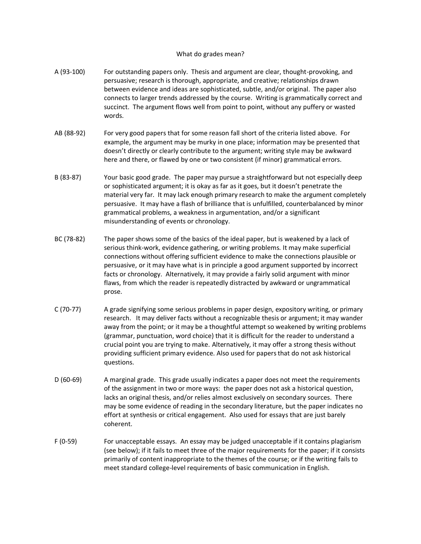#### What do grades mean?

- A (93-100) For outstanding papers only. Thesis and argument are clear, thought-provoking, and persuasive; research is thorough, appropriate, and creative; relationships drawn between evidence and ideas are sophisticated, subtle, and/or original. The paper also connects to larger trends addressed by the course. Writing is grammatically correct and succinct. The argument flows well from point to point, without any puffery or wasted words.
- AB (88-92) For very good papers that for some reason fall short of the criteria listed above. For example, the argument may be murky in one place; information may be presented that doesn't directly or clearly contribute to the argument; writing style may be awkward here and there, or flawed by one or two consistent (if minor) grammatical errors.
- B (83-87) Your basic good grade. The paper may pursue a straightforward but not especially deep or sophisticated argument; it is okay as far as it goes, but it doesn't penetrate the material very far. It may lack enough primary research to make the argument completely persuasive. It may have a flash of brilliance that is unfulfilled, counterbalanced by minor grammatical problems, a weakness in argumentation, and/or a significant misunderstanding of events or chronology.
- BC (78-82) The paper shows some of the basics of the ideal paper, but is weakened by a lack of serious think-work, evidence gathering, or writing problems. It may make superficial connections without offering sufficient evidence to make the connections plausible or persuasive, or it may have what is in principle a good argument supported by incorrect facts or chronology. Alternatively, it may provide a fairly solid argument with minor flaws, from which the reader is repeatedly distracted by awkward or ungrammatical prose.
- C (70-77) A grade signifying some serious problems in paper design, expository writing, or primary research. It may deliver facts without a recognizable thesis or argument; it may wander away from the point; or it may be a thoughtful attempt so weakened by writing problems (grammar, punctuation, word choice) that it is difficult for the reader to understand a crucial point you are trying to make. Alternatively, it may offer a strong thesis without providing sufficient primary evidence. Also used for papers that do not ask historical questions.
- D (60-69) A marginal grade. This grade usually indicates a paper does not meet the requirements of the assignment in two or more ways: the paper does not ask a historical question, lacks an original thesis, and/or relies almost exclusively on secondary sources. There may be some evidence of reading in the secondary literature, but the paper indicates no effort at synthesis or critical engagement. Also used for essays that are just barely coherent.
- F (0-59) For unacceptable essays. An essay may be judged unacceptable if it contains plagiarism (see below); if it fails to meet three of the major requirements for the paper; if it consists primarily of content inappropriate to the themes of the course; or if the writing fails to meet standard college-level requirements of basic communication in English.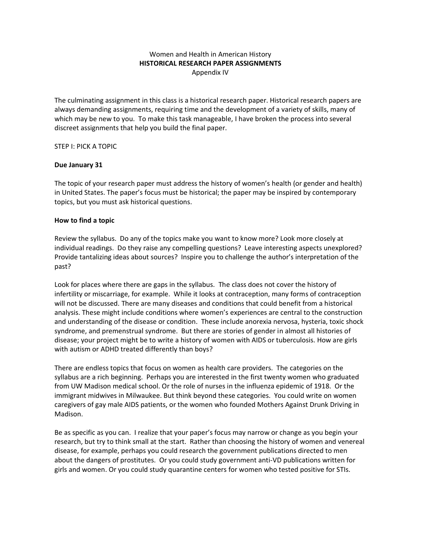#### Women and Health in American History **HISTORICAL RESEARCH PAPER ASSIGNMENTS** Appendix IV

The culminating assignment in this class is a historical research paper. Historical research papers are always demanding assignments, requiring time and the development of a variety of skills, many of which may be new to you. To make this task manageable, I have broken the process into several discreet assignments that help you build the final paper.

#### STEP I: PICK A TOPIC

#### **Due January 31**

The topic of your research paper must address the history of women's health (or gender and health) in United States. The paper's focus must be historical; the paper may be inspired by contemporary topics, but you must ask historical questions.

#### **How to find a topic**

Review the syllabus. Do any of the topics make you want to know more? Look more closely at individual readings. Do they raise any compelling questions? Leave interesting aspects unexplored? Provide tantalizing ideas about sources? Inspire you to challenge the author's interpretation of the past?

Look for places where there are gaps in the syllabus. The class does not cover the history of infertility or miscarriage, for example. While it looks at contraception, many forms of contraception will not be discussed. There are many diseases and conditions that could benefit from a historical analysis. These might include conditions where women's experiences are central to the construction and understanding of the disease or condition. These include anorexia nervosa, hysteria, toxic shock syndrome, and premenstrual syndrome. But there are stories of gender in almost all histories of disease; your project might be to write a history of women with AIDS or tuberculosis. How are girls with autism or ADHD treated differently than boys?

There are endless topics that focus on women as health care providers. The categories on the syllabus are a rich beginning. Perhaps you are interested in the first twenty women who graduated from UW Madison medical school. Or the role of nurses in the influenza epidemic of 1918. Or the immigrant midwives in Milwaukee. But think beyond these categories. You could write on women caregivers of gay male AIDS patients, or the women who founded Mothers Against Drunk Driving in Madison.

Be as specific as you can. I realize that your paper's focus may narrow or change as you begin your research, but try to think small at the start. Rather than choosing the history of women and venereal disease, for example, perhaps you could research the government publications directed to men about the dangers of prostitutes. Or you could study government anti-VD publications written for girls and women. Or you could study quarantine centers for women who tested positive for STIs.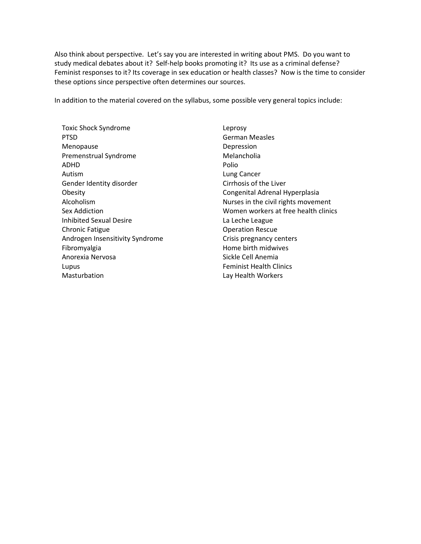Also think about perspective. Let's say you are interested in writing about PMS. Do you want to study medical debates about it? Self-help books promoting it? Its use as a criminal defense? Feminist responses to it? Its coverage in sex education or health classes? Now is the time to consider these options since perspective often determines our sources.

In addition to the material covered on the syllabus, some possible very general topics include:

Toxic Shock Syndrome PTSD Menopause Premenstrual Syndrome ADHD Autism Gender Identity disorder Obesity Alcoholism Sex Addiction Inhibited Sexual Desire Chronic Fatigue Androgen Insensitivity Syndrome Fibromyalgia Anorexia Nervosa Lupus Masturbation

Leprosy German Measles Depression Melancholia Polio Lung Cancer Cirrhosis of the Liver Congenital Adrenal Hyperplasia Nurses in the civil rights movement Women workers at free health clinics La Leche League Operation Rescue Crisis pregnancy centers Home birth midwives Sickle Cell Anemia Feminist Health Clinics Lay Health Workers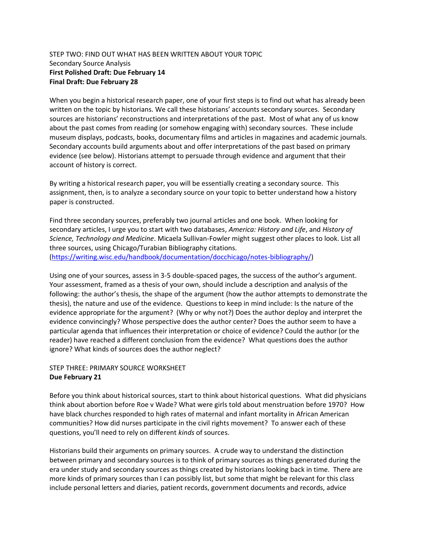#### STEP TWO: FIND OUT WHAT HAS BEEN WRITTEN ABOUT YOUR TOPIC Secondary Source Analysis **First Polished Draft: Due February 14 Final Draft: Due February 28**

When you begin a historical research paper, one of your first steps is to find out what has already been written on the topic by historians. We call these historians' accounts secondary sources. Secondary sources are historians' reconstructions and interpretations of the past. Most of what any of us know about the past comes from reading (or somehow engaging with) secondary sources. These include museum displays, podcasts, books, documentary films and articles in magazines and academic journals. Secondary accounts build arguments about and offer interpretations of the past based on primary evidence (see below). Historians attempt to persuade through evidence and argument that their account of history is correct.

By writing a historical research paper, you will be essentially creating a secondary source. This assignment, then, is to analyze a secondary source on your topic to better understand how a history paper is constructed.

Find three secondary sources, preferably two journal articles and one book. When looking for secondary articles, I urge you to start with two databases, *America: History and Life*, and *History of Science, Technology and Medicine*. Micaela Sullivan-Fowler might suggest other places to look. List all three sources, using Chicago/Turabian Bibliography citations. [\(https://writing.wisc.edu/handbook/documentation/docchicago/notes-bibliography/\)](https://writing.wisc.edu/handbook/documentation/docchicago/notes-bibliography/)

Using one of your sources, assess in 3-5 double-spaced pages, the success of the author's argument. Your assessment, framed as a thesis of your own, should include a description and analysis of the following: the author's thesis, the shape of the argument (how the author attempts to demonstrate the thesis), the nature and use of the evidence. Questions to keep in mind include: Is the nature of the evidence appropriate for the argument? (Why or why not?) Does the author deploy and interpret the evidence convincingly? Whose perspective does the author center? Does the author seem to have a particular agenda that influences their interpretation or choice of evidence? Could the author (or the reader) have reached a different conclusion from the evidence? What questions does the author ignore? What kinds of sources does the author neglect?

# STEP THREE: PRIMARY SOURCE WORKSHEET **Due February 21**

Before you think about historical sources, start to think about historical questions. What did physicians think about abortion before Roe v Wade? What were girls told about menstruation before 1970? How have black churches responded to high rates of maternal and infant mortality in African American communities? How did nurses participate in the civil rights movement? To answer each of these questions, you'll need to rely on different *kinds* of sources.

Historians build their arguments on primary sources. A crude way to understand the distinction between primary and secondary sources is to think of primary sources as things generated during the era under study and secondary sources as things created by historians looking back in time. There are more kinds of primary sources than I can possibly list, but some that might be relevant for this class include personal letters and diaries, patient records, government documents and records, advice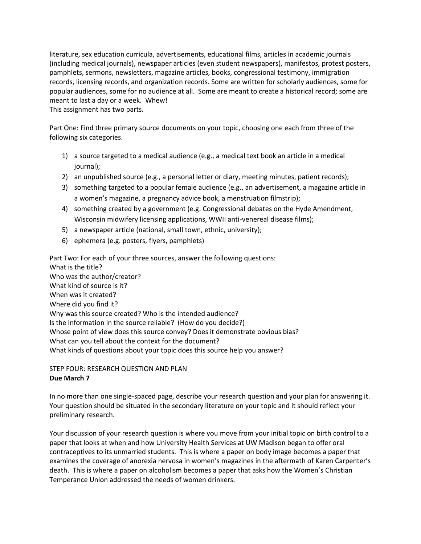literature, sex education curricula, advertisements, educational films, articles in academic journals (including medical journals), newspaper articles (even student newspapers), manifestos, protest posters, pamphlets, sermons, newsletters, magazine articles, books, congressional testimony, immigration records, licensing records, and organization records. Some are written for scholarly audiences, some for popular audiences, some for no audience at all. Some are meant to create a historical record; some are meant to last a day or a week. Whew!

This assignment has two parts.

Part One: Find three primary source documents on your topic, choosing one each from three of the following six categories.

- 1) a source targeted to a medical audience (e.g., a medical text book an article in a medical journal);
- 2) an unpublished source (e.g., a personal letter or diary, meeting minutes, patient records);
- 3) something targeted to a popular female audience (e.g., an advertisement, a magazine article in a women's magazine, a pregnancy advice book, a menstruation filmstrip);
- 4) something created by a government (e.g. Congressional debates on the Hyde Amendment, Wisconsin midwifery licensing applications, WWII anti-venereal disease films);
- 5) a newspaper article (national, small town, ethnic, university);
- 6) ephemera (e.g. posters, flyers, pamphlets)

Part Two: For each of your three sources, answer the following questions: What is the title? Who was the author/creator? What kind of source is it? When was it created? Where did you find it? Why was this source created? Who is the intended audience? Is the information in the source reliable? (How do you decide?) Whose point of view does this source convey? Does it demonstrate obvious bias? What can you tell about the context for the document? What kinds of questions about your topic does this source help you answer?

STEP FOUR: RESEARCH QUESTION AND PLAN **Due March 7**

In no more than one single-spaced page, describe your research question and your plan for answering it. Your question should be situated in the secondary literature on your topic and it should reflect your preliminary research.

Your discussion of your research question is where you move from your initial topic on birth control to a paper that looks at when and how University Health Services at UW Madison began to offer oral contraceptives to its unmarried students. This is where a paper on body image becomes a paper that examines the coverage of anorexia nervosa in women's magazines in the aftermath of Karen Carpenter's death. This is where a paper on alcoholism becomes a paper that asks how the Women's Christian Temperance Union addressed the needs of women drinkers.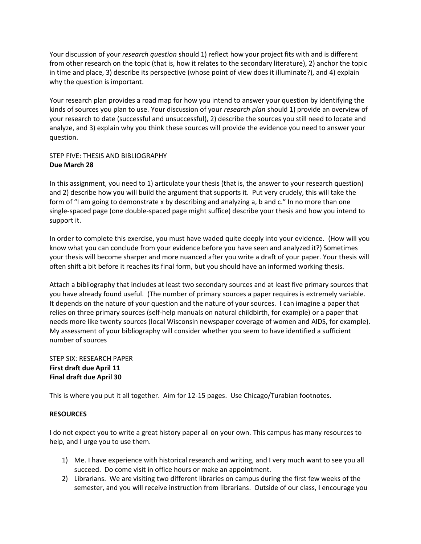Your discussion of your *research question* should 1) reflect how your project fits with and is different from other research on the topic (that is, how it relates to the secondary literature), 2) anchor the topic in time and place, 3) describe its perspective (whose point of view does it illuminate?), and 4) explain why the question is important.

Your research plan provides a road map for how you intend to answer your question by identifying the kinds of sources you plan to use. Your discussion of your *research plan* should 1) provide an overview of your research to date (successful and unsuccessful), 2) describe the sources you still need to locate and analyze, and 3) explain why you think these sources will provide the evidence you need to answer your question.

# STEP FIVE: THESIS AND BIBLIOGRAPHY **Due March 28**

In this assignment, you need to 1) articulate your thesis (that is, the answer to your research question) and 2) describe how you will build the argument that supports it. Put very crudely, this will take the form of "I am going to demonstrate x by describing and analyzing a, b and c." In no more than one single-spaced page (one double-spaced page might suffice) describe your thesis and how you intend to support it.

In order to complete this exercise, you must have waded quite deeply into your evidence. (How will you know what you can conclude from your evidence before you have seen and analyzed it?) Sometimes your thesis will become sharper and more nuanced after you write a draft of your paper. Your thesis will often shift a bit before it reaches its final form, but you should have an informed working thesis.

Attach a bibliography that includes at least two secondary sources and at least five primary sources that you have already found useful. (The number of primary sources a paper requires is extremely variable. It depends on the nature of your question and the nature of your sources. I can imagine a paper that relies on three primary sources (self-help manuals on natural childbirth, for example) or a paper that needs more like twenty sources (local Wisconsin newspaper coverage of women and AIDS, for example). My assessment of your bibliography will consider whether you seem to have identified a sufficient number of sources

#### STEP SIX: RESEARCH PAPER **First draft due April 11 Final draft due April 30**

This is where you put it all together. Aim for 12-15 pages. Use Chicago/Turabian footnotes.

## **RESOURCES**

I do not expect you to write a great history paper all on your own. This campus has many resources to help, and I urge you to use them.

- 1) Me. I have experience with historical research and writing, and I very much want to see you all succeed. Do come visit in office hours or make an appointment.
- 2) Librarians. We are visiting two different libraries on campus during the first few weeks of the semester, and you will receive instruction from librarians. Outside of our class, I encourage you